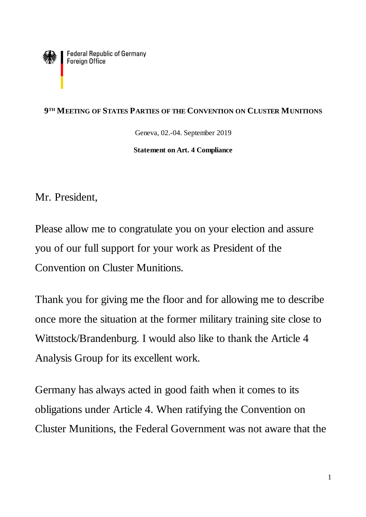Federal Republic of Germany<br>Foreign Office

## **9 TH MEETING OF STATES PARTIES OF THE CONVENTION ON CLUSTER MUNITIONS**

Geneva, 02.-04. September 2019

**Statement on Art. 4 Compliance**

Mr. President,

Please allow me to congratulate you on your election and assure you of our full support for your work as President of the Convention on Cluster Munitions.

Thank you for giving me the floor and for allowing me to describe once more the situation at the former military training site close to Wittstock/Brandenburg. I would also like to thank the Article 4 Analysis Group for its excellent work.

Germany has always acted in good faith when it comes to its obligations under Article 4. When ratifying the Convention on Cluster Munitions, the Federal Government was not aware that the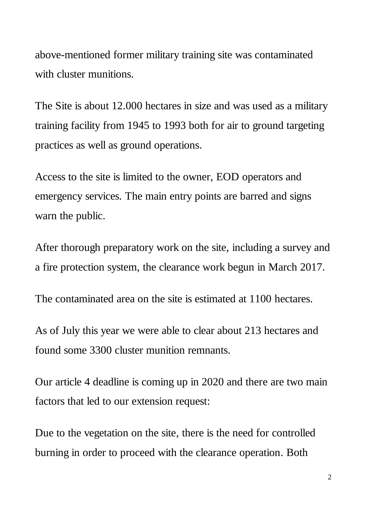above-mentioned former military training site was contaminated with cluster munitions.

The Site is about 12.000 hectares in size and was used as a military training facility from 1945 to 1993 both for air to ground targeting practices as well as ground operations.

Access to the site is limited to the owner, EOD operators and emergency services. The main entry points are barred and signs warn the public.

After thorough preparatory work on the site, including a survey and a fire protection system, the clearance work begun in March 2017.

The contaminated area on the site is estimated at 1100 hectares.

As of July this year we were able to clear about 213 hectares and found some 3300 cluster munition remnants.

Our article 4 deadline is coming up in 2020 and there are two main factors that led to our extension request:

Due to the vegetation on the site, there is the need for controlled burning in order to proceed with the clearance operation. Both